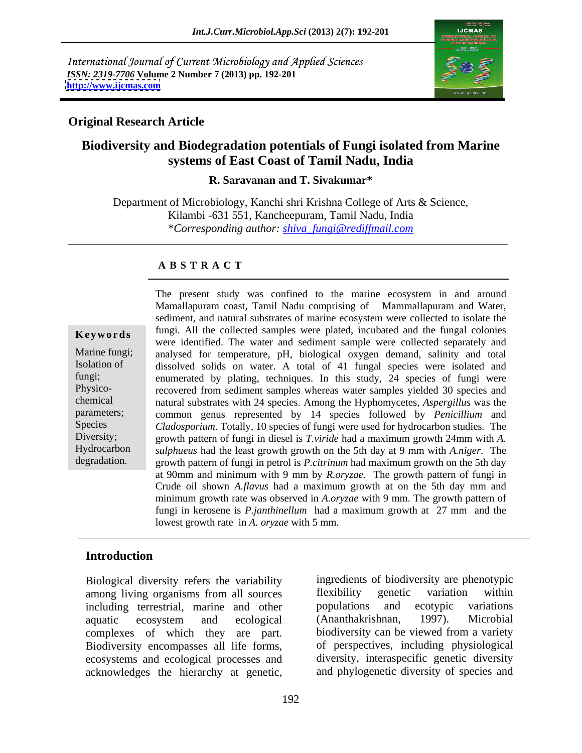International Journal of Current Microbiology and Applied Sciences *ISSN: 2319-7706* **Volume 2 Number 7 (2013) pp. 192-201 <http://www.ijcmas.com>**



### **Original Research Article**

### **Biodiversity and Biodegradation potentials of Fungi isolated from Marine systems of East Coast of Tamil Nadu, India**

**R. Saravanan and T. Sivakumar\***

Department of Microbiology, Kanchi shri Krishna College of Arts & Science, Kilambi -631 551, Kancheepuram, Tamil Nadu, India \**Corresponding author: shiva\_fungi@rediffmail.com*

### **A B S T R A C T**

chemical natural substrates with 24 species. Among the Hyphomycetes, *Aspergillus* was the **Keywords** fungi. All the collected samples were plated, incubated and the fungal colonies Marine fungi; analysed for temperature, pH, biological oxygen demand, salinity and total Isolation of dissolved solids on water. A total of 41 fungal species were isolated and fungi; enumerated by plating, techniques. In this study,  $24$  species of fungi were Physico- recovered from sediment samples whereas water samples yielded 30 species and parameters; common genus represented by 14 species followed by *Penicillium* and Species *Cladosporium*. Totally, 10 species of fungi were used for hydrocarbon studies*.* The Diversity; growth pattern of fungi in diesel is *T.viride* had a maximum growth 24mm with *A*. Hydrocarbon *sulphueus* had the least growth growth on the 5th day at 9 mm with *A.niger*. The degradation. growth pattern of fungi in petrol is *P.citrinum* had maximum growth on the 5th day The present study was confined to the marine ecosystem in and around Mamallapuram coast, Tamil Nadu comprising of Mammallapuram and Water, sediment, and natural substrates of marine ecosystem were collected to isolate the were identified. The water and sediment sample were collected separately and at 90mm and minimum with 9 mm by *R.oryzae.* The growth pattern of fungi in Crude oil shown *A.flavus* had a maximum growth at on the 5th day mm and minimum growth rate was observed in *A.oryzae* with 9 mm. The growth pattern of fungi in kerosene is *P.janthinellum* had a maximum growth at 27 mm and the lowest growth rate in *A. oryzae* with 5 mm.

### **Introduction**

Biological diversity refers the variability among living organisms from all sources flexibility genetic variation within including terrestrial, marine and other populations and ecotypic variations aquatic ecosystem and ecological (Ananthakrishnan, 1997). Microbial complexes of which they are part. Biodiversity encompasses all life forms, ecosystems and ecological processes and acknowledges the hierarchy at genetic,

ingredients of biodiversity are phenotypic flexibility genetic variation within populations and ecotypic variations (Ananthakrishnan, 1997). Microbial biodiversity can be viewed from a variety of perspectives, including physiological diversity, interaspecific genetic diversity and phylogenetic diversity of species and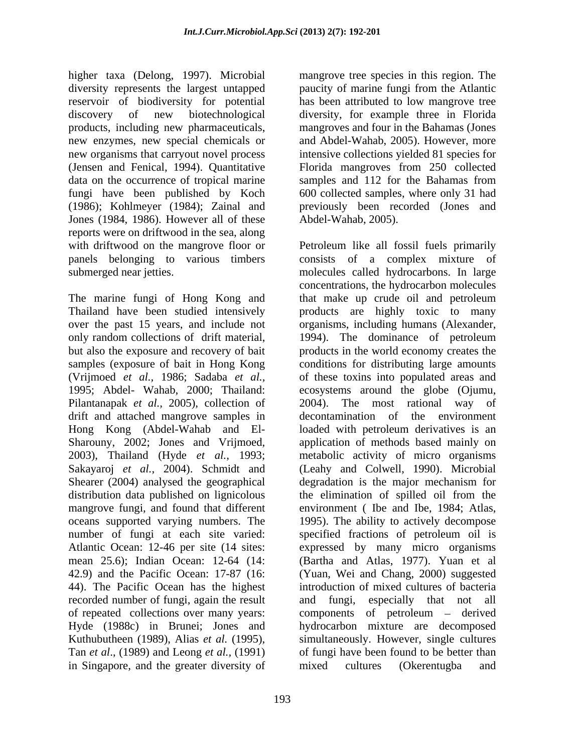higher taxa (Delong, 1997). Microbial diversity represents the largest untapped reservoir of biodiversity for potential discovery of new biotechnological diversity, for example three in Florida products, including new pharmaceuticals, mangroves and four in the Bahamas (Jones new enzymes, new special chemicals or and Abdel-Wahab, 2005). However, more new organisms that carryout novel process intensive collections yielded 81 species for (Jensen and Fenical, 1994). Quantitative Florida mangroves from 250 collected data on the occurrence of tropical marine samples and 112 for the Bahamas from fungi have been published by Koch (1986); Kohlmeyer (1984); Zainal and previously been recorded (Jones and Jones (1984, 1986). However all of these reports were on driftwood in the sea, along

Pilantanapak *et al.,* 2005), collection of drift and attached mangrove samples in Shearer (2004) analysed the geographical degradation is the major mechanism for mangrove fungi, and found that different number of fungi at each site varied: specified fractions of petroleum oil is in Singapore, and the greater diversity of mixed cultures (Okerentugba and

mangrove tree species in this region. The paucity of marine fungi from the Atlantic has been attributed to low mangrove tree samples and 112 for the Bahamas from 600 collected samples, where only 31 had Abdel-Wahab, 2005).

with driftwood on the mangrove floor or Petroleum like all fossil fuels primarily panels belonging to various timbers consists of a complex mixture of submerged near jetties. molecules called hydrocarbons. In large The marine fungi of Hong Kong and that makeup crude oil and petroleum Thailand have been studied intensively products are highly toxic to many over the past 15 years, and include not organisms, including humans (Alexander, only random collections of drift material, 1994). The dominance of petroleum but also the exposure and recovery of bait products in the world economy creates the samples (exposure of bait in Hong Kong conditions for distributing large amounts (Vrijmoed *et al.,* 1986; Sadaba *et al.,* of these toxins into populated areas and 1995; Abdel- Wahab, 2000; Thailand: ecosystems around the globe (Ojumu, Hong Kong (Abdel-Wahab and El- loaded with petroleum derivatives is an Sharouny, 2002; Jones and Vrijmoed, application of methods based mainly on 2003), Thailand (Hyde *et al.*, 1993; metabolic activity of micro organisms Sakayaroj *et al.*, 2004). Schmidt and (Leahy and Colwell, 1990). Microbial distribution data published on lignicolous the elimination of spilled oil from the oceans supported varying numbers. The 1995). The ability to actively decompose Atlantic Ocean: 12-46 per site (14 sites: expressed by many micro organisms mean 25.6); Indian Ocean: 12-64 (14: (Bartha and Atlas, 1977). Yuan et al 42.9) and the Pacific Ocean: 17-87 (16: (Yuan, Wei and Chang, 2000) suggested 44). The Pacific Ocean has the highest introduction of mixed cultures of bacteria recorded number of fungi, again the result and fungi, especially that not all of repeated collections over many years: components of petroleum – derived Hyde (1988c) in Brunei; Jones and hydrocarbon mixture are decomposed Kuthubutheen (1989), Alias *et al.* (1995), simultaneously. However, single cultures Tan *et al*., (1989) and Leong *et al.,* (1991) of fungi have been found to be better than concentrations, the hydrocarbon molecules  $2004$ ). The most rational way decontamination of the environment degradation is the major mechanism for environment ( Ibe and Ibe, 1984; Atlas, specified fractions of petroleum oil is mixed cultures (Okerentugba and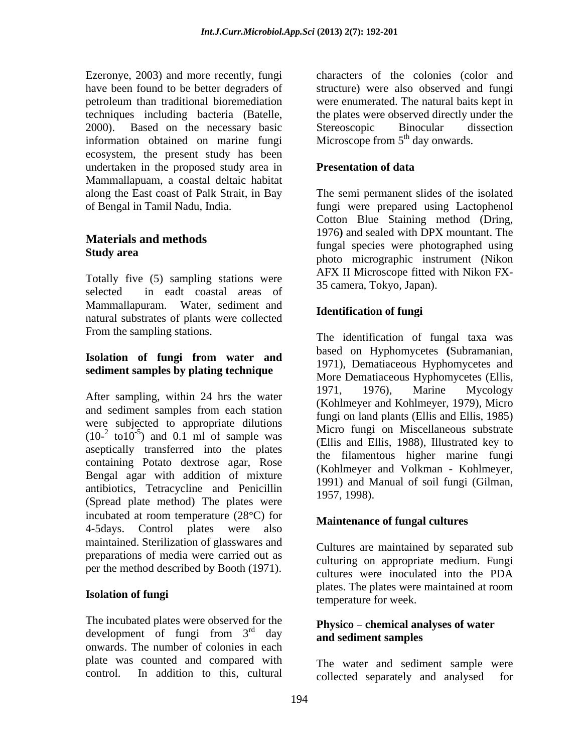Ezeronye, 2003) and more recently, fungi have been found to be better degraders of structure) were also observed and fungi petroleum than traditional bioremediation were enumerated. The natural baits kept in techniques including bacteria (Batelle, the plates were observed directly under the 2000). Based on the necessary basic information obtained on marine fungi ecosystem, the present study has been undertaken in the proposed study area in **Presentation of data** Mammallapuam, a coastal deltaic habitat along the East coast of Palk Strait, in Bay of Bengal in Tamil Nadu, India.

Totally five (5) sampling stations were selected in eadt coastal areas of Mammallapuram. Water, sediment and natural substrates of plants were collected From the sampling stations.

## **sediment samples by plating technique**

and sediment samples from each station were subjected to appropriate dilutions  $(10^{-2} \text{ to } 10^{-5})$  and 0.1 ml of sample was  $(10^{-2} \text{ to } 10^{8})$ . The sample was  $(10^{-2} \text{ to } 10^{-5})$  and  $0.1 \text{ m}$  of sample was aseptically transferred into the plates containing Potato dextrose agar, Rose Bengal agar with addition of mixture antibiotics, Tetracycline and Penicillin  $\frac{1551}{1957, 1998}$ . (Spread plate method) The plates were incubated at room temperature  $(28^{\circ}C)$  for 4-5days. Control plates were also maintained. Sterilization of glasswares and preparations of media were carried out as

### **Isolation of fungi**

The incubated plates were observed for the development of fungi from  $3<sup>rd</sup>$  day development of fungi from  $3^{rd}$  day and sediment samples onwards. The number of colonies in each plate was counted and compared with

characters of the colonies (color and Stereoscopic Binocular dissection Microscope from  $5<sup>th</sup>$  day onwards.

### **Presentation of data**

**Materials and methods**<br> **fungal species were photographed using**<br> **order Study area** and the second integration of the second integration of the second integration of the second integration of the second integration of the second integration of the second integration of the second integration The semi permanent slides of the isolated fungi were prepared using Lactophenol Cotton Blue Staining method (Dring, 1976**)** and sealed with DPX mountant. The photo micrographic instrument (Nikon AFX II Microscope fitted with Nikon FX- 35 camera, Tokyo, Japan).

### **Identification of fungi**

**Isolation of fungi from water and** After sampling, within 24 hrs the water  $\frac{1971}{K \text{e}^2}$  and  $\frac{1976}{K \text{e}^2}$  Mines and  $\frac{1070}{K \text{e}^2}$ . The identification of fungal taxa was based on Hyphomycetes **(**Subramanian, 1971), Dematiaceous Hyphomycetes and More Dematiaceous Hyphomycetes (Ellis, 1971, 1976), Marine Mycology (Kohlmeyer and Kohlmeyer, 1979), Micro fungi on land plants (Ellis and Ellis, 1985) Micro fungi on Miscellaneous substrate (Ellis and Ellis, 1988), Illustrated key to the filamentous higher marine fungi (Kohlmeyer and Volkman - Kohlmeyer, 1991) and Manual of soil fungi (Gilman, 1957, 1998).

### **Maintenance of fungal cultures**

per the method described by Booth (1971). Cultures were inoculated into the PDA Cultures are maintained by separated sub culturing on appropriate medium. Fungi cultures were inoculated into the PDA plates. The plates were maintained at room temperature for week.

### $r<sub>rd</sub>$  day and sediment samples **Physico chemical analyses of water and sediment samples**

control. In addition to this, cultural collected separately and analysed forThe water and sediment sample were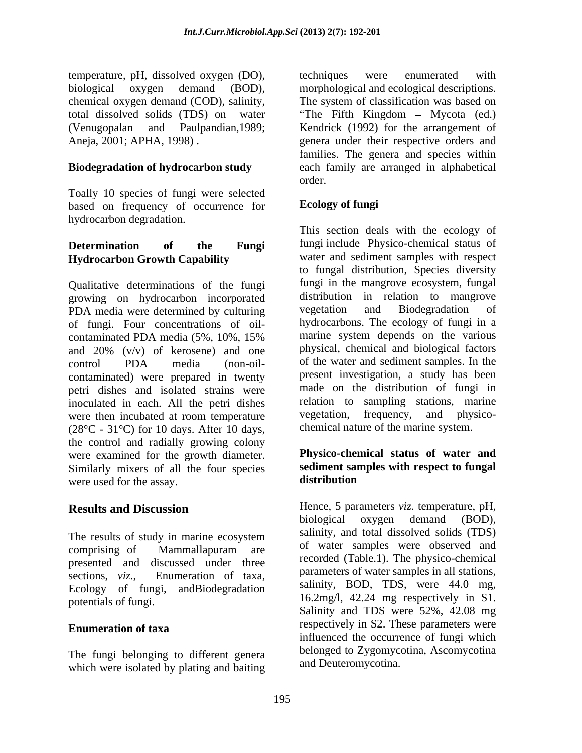temperature, pH, dissolved oxygen (DO), biological oxygen demand (BOD), morphological and ecological descriptions. chemical oxygen demand (COD), salinity, total dissolved solids (TDS) on water The Fifth Kingdom Mycota (ed.) (Venugopalan and Paulpandian,1989; Kendrick (1992) for the arrangement of Aneja, 2001; APHA, 1998) . genera under their respective orders and

Toally 10 species of fungi were selected based on frequency of occurrence for hydrocarbon degradation.

# **Hydrocarbon Growth Capability**

Qualitative determinations of the fungi growing on hydrocarbon incorporated distribution in relation to mang<br>PDA media were determined by culturing vegetation and Biodegradation PDA media were determined by culturing vegetation and Biodegradation of of fungi. Four concentrations of oil contaminated PDA media (5%, 10%, 15% and 20% (v/v) of kerosene) and one control PDA media (non-oil- of the water and sediment samples. In the contaminated) were prepared in twenty petri dishes and isolated strains were inoculated in each. All the petri dishes relation to sampling stations, marine<br>were then incubated at room temperature vegetation, frequency, and physicowere then incubated at room temperature  $(28^{\circ}C - 31^{\circ}C)$  for 10 days. After 10 days, the control and radially growing colony were examined for the growth diameter. Similarly mixers of all the four species sediment sar<br>were used for the assay distribution were used for the assay.

presented and discussed under three Ecology of fungi, andBiodegradation

The fungi belonging to different genera which were isolated by plating and baiting

**Biodegradation of hydrocarbon study**  each family are arranged in alphabetical techniques were enumerated with morphological and ecological descriptions. The system of classification was based on families. The genera and species within order.

### **Ecology of fungi**

**Determination of the Fungi** fungi include Physico-chemical status of This section deals with the ecology of water and sediment samples with respect to fungal distribution, Species diversity fungi in the mangrove ecosystem, fungal distribution in relation to mangrove vegetation and Biodegradation of hydrocarbons. The ecology of fungi in a marine system depends on the various physical, chemical and biological factors of the water and sediment samples. In the present investigation, a study has been made on the distribution of fungi in relation to sampling stations, marine vegetation, frequency, and physico chemical nature of the marine system.

### **Physico-chemical status of water and sediment samples with respect to fungal distribution**

**Results and Discussion**  Hence, 5 parameters *viz*. temperature, pH, The results of study in marine ecosystem salimity, and total dissolved solids (1DS) comprising of Mammallapuram are of water samples were observed and sections, *viz.*, Enumeration of taxa, parameters of water samples in all stations, potentials of fungi.  $\frac{16.2 \text{ mg}}{16.2 \text{ mg}}$  respectively in S1. **Enumeration of taxa Experimental Example 1988 Expectively in S2. These parameters were** biological oxygen demand (BOD), salinity, and total dissolved solids (TDS) of water samples were observed and recorded (Table.1). The physico-chemical parameters of water samples in all stations, salinity, BOD, TDS, were 44.0 mg, Salinity and TDS were 52%, 42.08 mg respectively in S2. These parameters were influenced the occurrence of fungi which belonged to Zygomycotina, Ascomycotina and Deuteromycotina.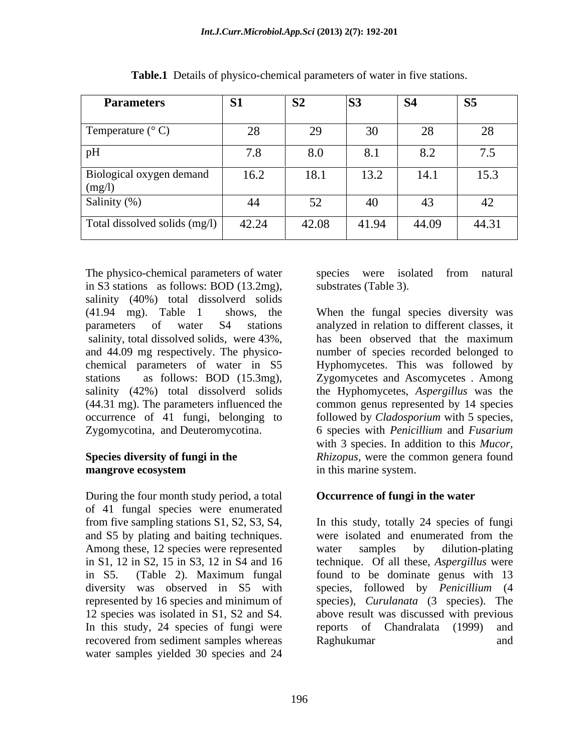| <b>Parameters</b>                            | <b>S1</b>                  | S <sub>2</sub> | <b>S3</b> | <b>S4</b> | S <sub>5</sub> |
|----------------------------------------------|----------------------------|----------------|-----------|-----------|----------------|
| Temperature $(^{\circ}$ C)                   | 28                         | 29             | 30        | 28        | 28             |
| pH                                           | $\tau$ o<br>$\overline{0}$ | 8.0            | 8.1       | 8.2       | 7.5            |
| Biological oxygen demand<br>$\text{ (mg/l)}$ | 16.2                       | 18.1           | 13.2      | 14.1      | 15.3           |
| Salinity (%)                                 | 44                         | 52             | 40        | 43        | 42             |
| Total dissolved solids (mg/l)                | 42.24                      | 42.08          | 41.94     | 44.09     | 44.31          |

**Table.1** Details of physico-chemical parameters of water in five stations.

The physico-chemical parameters of water species were isolated from natural in S3 stations as follows: BOD (13.2mg), salinity (40%) total dissolverd solids salinity, total dissolved solids, were 43%, has been observed that the maximum

During the four month study period, a total of 41 fungal species were enumerated and S5 by plating and baiting techniques. Were isolated and enumerated from the Among these, 12 species were represented water samples by dilution-plating 12 species was isolated in S1, S2 and S4. In this study, 24 species of fungi were reports of Chandralata (1999) and recovered from sediment samples whereas water samples yielded 30 species and 24

species were isolated from natural substrates (Table 3).

(41.94 mg). Table 1 shows, the When the fungal species diversity was parameters of water S4 stations analyzed in relation to different classes, it and 44.09 mg respectively. The physico- number of species recorded belonged to chemical parameters of water in S5 Hyphomycetes. This was followed by stations as follows: BOD (15.3mg), Zygomycetes and Ascomycetes . Among salinity (42%) total dissolverd solids the Hyphomycetes, *Aspergillus* was the (44.31 mg). The parameters influenced the common genus represented by 14 species occurrence of 41 fungi, belonging to followed by *Cladosporium* with 5 species, Zygomycotina, and Deuteromycotina. 6 species with *Penicillium* and *Fusarium*  **Species diversity of fungi in the** *Rhizopus*, were the common genera found **mangrove ecosystem** and **in** this marine system. has been observed that the maximum with 3 species. In addition to this *Mucor,* in this marine system.

### **Occurrence of fungi in the water**

from five sampling stations S1, S2, S3, S4, In this study, totally 24 species of fungi in S1, 12 in S2, 15 in S3, 12 in S4 and 16 technique. Of all these, *Aspergillus* were in S5. (Table 2). Maximum fungal found to be dominate genus with 13 diversity was observed in S5 with species, followed by *Penicillium* (4 represented by 16 species and minimum of species), *Curulanata* (3 species). The were isolated and enumerated from the water samples by dilution-plating above result was discussed with previous reports of Chandralata (1999) Raghukumar and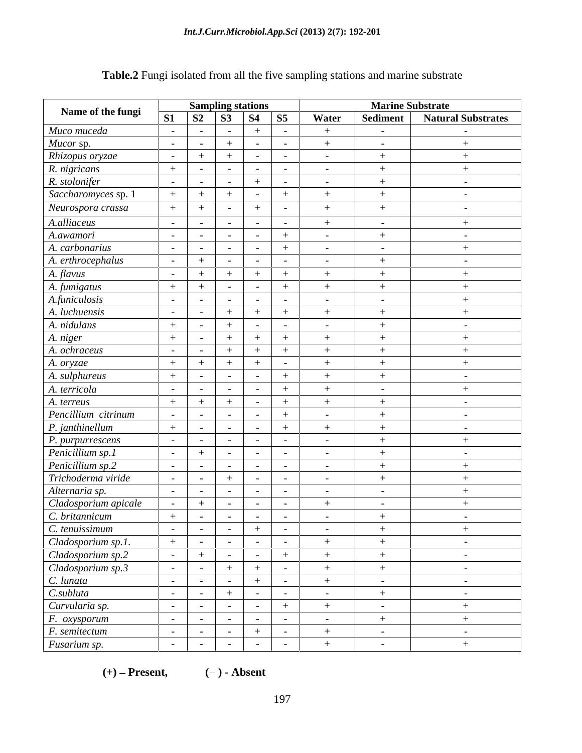|                                               |                | <b>Sampling stations</b> |                          |                          |                          |                          |                          |                          | <b>Marine Substrate</b>   |  |  |
|-----------------------------------------------|----------------|--------------------------|--------------------------|--------------------------|--------------------------|--------------------------|--------------------------|--------------------------|---------------------------|--|--|
| Name of the fungi                             | S1             | <b>S2</b>                |                          | <b>S3</b>                | <b>S4</b>                | <b>S5</b>                | Water                    | Sediment                 | <b>Natural Substrates</b> |  |  |
| Muco muceda                                   | $\sim$         |                          | $\sim$                   | $\overline{\phantom{0}}$ |                          | $\sim$                   |                          | $\overline{\phantom{0}}$ | $\sim$ $-$                |  |  |
| Mucor sp.                                     | $\sim$         |                          | $\overline{\phantom{a}}$ |                          |                          | $\sim$                   |                          | $\overline{\phantom{0}}$ | $+$                       |  |  |
| Rhizopus oryzae                               | $\sim$ $ \sim$ |                          |                          |                          |                          | $\sim$                   | $-$                      | $^{+}$                   | $^{+}$                    |  |  |
| R. nigricans                                  | $+$            |                          | $\sim$                   | $\sim$                   | $\overline{\phantom{a}}$ | $\sim$                   | $\overline{\phantom{a}}$ |                          | $^{+}$                    |  |  |
| R. stolonifer                                 | $\sim$ $-$     |                          | $\sim$                   | $\sim$                   |                          | $\sim$                   | $-$                      | $+$                      | $\sim$                    |  |  |
| Saccharomyces sp. 1                           | $+$            |                          |                          |                          |                          | $+$                      |                          |                          | $\overline{\phantom{a}}$  |  |  |
| Neurospora crassa                             | $+$            |                          |                          | $\overline{\phantom{0}}$ |                          | $\overline{\phantom{0}}$ |                          |                          | $\overline{\phantom{a}}$  |  |  |
| A.alliaceus                                   | $\sim$         |                          | $\sim$                   |                          |                          | $\sim$                   |                          | $-$                      | $+$                       |  |  |
| A.awamori                                     | $-$            |                          | $\sim$                   | $\sim$                   |                          | $+$                      | $\sim$                   | $+$                      | $\sim$ $-$                |  |  |
| A. carbonarius                                | $\sim$ $ \sim$ |                          | $\sim$                   |                          |                          | $+$                      | $\sim$                   | $\overline{\phantom{0}}$ | $+$                       |  |  |
| A. erthrocephalus                             | $\sim$ $-$     |                          |                          | $\overline{a}$           |                          | $\sim$                   | $\overline{\phantom{0}}$ | $^{+}$                   | $\sim$                    |  |  |
| A. flavus                                     | $\sim$ $-$     |                          |                          |                          |                          | $+$                      |                          |                          |                           |  |  |
| A. fumigatus                                  | $+$            |                          |                          | $\overline{\phantom{0}}$ |                          | $+$                      |                          | $+$                      | $+$                       |  |  |
| A.funiculosis                                 | $\sim$ $ \sim$ |                          | $\sim$                   | $\overline{\phantom{0}}$ |                          | $\sim$                   | $\overline{\phantom{0}}$ | $\overline{\phantom{0}}$ | $+$                       |  |  |
| A. luchuensis                                 | $\sim$ $-$     |                          | $\sim$                   | $+$                      | $+$                      | $+$                      | $^{+}$                   | $+$                      | $+$                       |  |  |
| A. nidulans                                   | $+$            |                          | $\overline{a}$           |                          |                          | $\sim$                   | $\overline{\phantom{a}}$ |                          | $\overline{\phantom{0}}$  |  |  |
| A. niger                                      | $+$            |                          |                          |                          |                          | $^{+}$                   | $+$                      | $^{+}$                   | $+$                       |  |  |
| A. ochraceus                                  | $\sim$ $ \sim$ |                          | $\overline{\phantom{a}}$ |                          |                          | $+$                      |                          |                          | $+$                       |  |  |
| A. oryzae                                     | $+$            |                          |                          | $+$                      | $+$                      | $\sim$                   |                          | $^{+}$                   | $+$                       |  |  |
| A. sulphureus                                 | $+$            |                          | $\overline{a}$           | $\overline{\phantom{0}}$ |                          | $+$                      |                          | $^{+}$                   | $\sim$                    |  |  |
| A. terricola                                  | $\sim$ $-$     |                          | $\sim$                   | $\overline{a}$           |                          | $+$                      |                          | $\overline{\phantom{0}}$ | $+$                       |  |  |
| A. terreus                                    | $+$            |                          | $^{+}$                   |                          |                          | $+$                      |                          |                          | $\sim$                    |  |  |
| Pencillium citrinum                           | $\sim$ $-$     |                          | $\sim$                   | $\sim$                   | $\overline{\phantom{a}}$ | $+$                      | $\overline{\phantom{0}}$ | $^{+}$                   | $\sim$ $-$                |  |  |
| $\mid$ P. janthinellum                        | $+$            |                          | $\overline{a}$           |                          |                          | $+$                      |                          | $^{+}$                   | $\sim$                    |  |  |
| P. purpurrescens                              | $\sim$         |                          | $\overline{a}$           | $\overline{\phantom{0}}$ |                          | $\sim$                   | $\overline{\phantom{a}}$ | $^{+}$                   | $^{+}$                    |  |  |
| Penicillium sp.1                              | $\sim$ $ \sim$ |                          | $^+$                     | $\overline{\phantom{0}}$ |                          | $\sim$                   | $\overline{\phantom{a}}$ | $^{+}$                   | $\sim$                    |  |  |
| Penicillium sp.2                              | $\sim$ $-$     |                          | $\sim$                   | $\sim$                   | $\overline{\phantom{0}}$ | $\sim$                   | $\overline{\phantom{0}}$ | $^{+}$                   | $+$                       |  |  |
| Trichoderma viride                            | $-$            |                          | $\sim$                   | $+$                      |                          | $\sim$                   | $\overline{\phantom{a}}$ | $+$                      | $+$                       |  |  |
| Alternaria sp.                                | $\sim$ $ \sim$ |                          | $\sim$                   | $\overline{\phantom{0}}$ |                          | $\sim$                   | $\overline{\phantom{0}}$ | $-$                      | $^{+}$                    |  |  |
| Cladosporium apicale                          | $\sim$         |                          | $^{+}$                   | $\overline{\phantom{0}}$ |                          | $\sim$                   | $^{+}$                   | $-$                      | $+$                       |  |  |
| C. britannicum                                | $+$            |                          | $\sim$                   | $\sim$                   |                          | $\sim$                   |                          |                          | $\sim$                    |  |  |
| C. tenuissimum                                | $\sim$ $-$     |                          | $\sim$                   | $\sim$                   |                          | $\sim$                   | $\overline{\phantom{a}}$ | $+$                      | $+$                       |  |  |
| Cladosporium sp.1.                            | $+$            |                          | $\sim$ $-$               | $\sim$                   |                          | $\sim$                   |                          | $+$                      | $\sim$ $ \sim$            |  |  |
| Cladosporium sp.2                             | $\sim$         |                          | $+$                      | $\sim$                   | $\overline{\phantom{0}}$ | $+$                      | $+$                      | $+$                      | $\sim$ $ \sim$            |  |  |
| Cladosporium sp.3                             | $\sim$ $ \sim$ |                          | $\sim$                   | $+$                      | $+$                      | $\sim$ $ \sim$           | $+$                      | $+$                      | $\sim$ $ \sim$            |  |  |
| C. lunata                                     | $\sim$ $-$     |                          | $\sim$                   | $\sim$                   | $+$                      | $\sim$ $ \sim$           | $+$                      | $\sim$ $-$               | $\sim$ $ \sim$            |  |  |
| C.subluta                                     | $\sim$ $-$     |                          | $\sim$                   | $+$                      |                          | $\sim$                   | $\overline{\phantom{0}}$ | $+$                      | $\sim$ $ \sim$            |  |  |
| Curvularia sp.                                | $\sim$ $-$     |                          | $\sim$                   | $\sim$                   | $\overline{\phantom{0}}$ | $+$                      | $+$                      | $\sim$ $-$               | $+$                       |  |  |
| $F.$ $oxygenorum$                             | $\sim$ $-$     |                          | $\sim$                   | $\sim$                   |                          | $\sim$                   | $\sim$                   | $+$                      | $+$                       |  |  |
| F. semitectum                                 | $\sim$ $ \sim$ |                          | $\sim$ $-$               | $\sim$ $ \sim$           | $+$                      | $\sim$ $ \sim$           | $+$                      | $\sim$ $-$               | $\sim$ $ \sim$            |  |  |
| $\sqrt{\frac{F_{\mu}}{F_{\mu}}}$ Fusarium sp. | $\sim$ $-$     |                          | $\sim$                   | $\overline{\phantom{0}}$ |                          | $\sim$                   |                          | $\sim$                   | $+$                       |  |  |

## **Table.2** Fungi isolated from all the five sampling stations and marine substrate

**(+) Present, ( ) - Absent**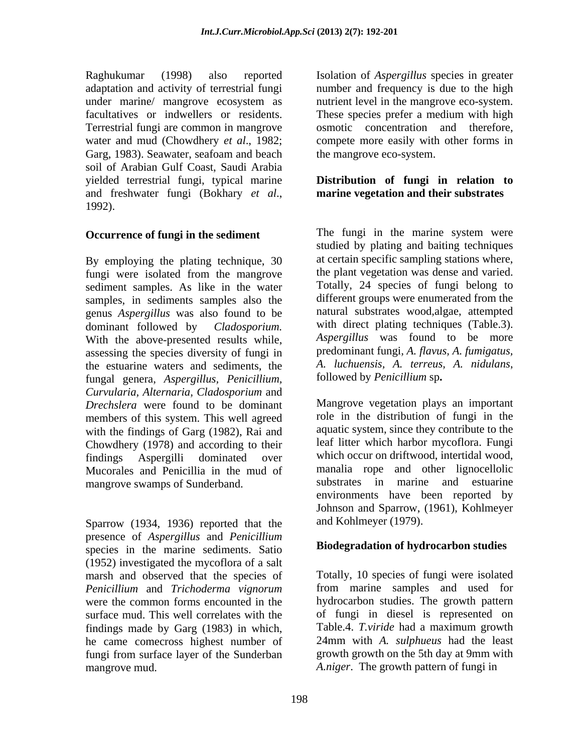Raghukumar (1998) also reported Isolation of *Aspergillus* species in greater adaptation and activity of terrestrial fungi number and frequency is due to the high under marine/ mangrove ecosystem as nutrient level in the mangrove eco-system. facultatives or indwellers or residents. These species prefer a medium with high Terrestrial fungi are common in mangrove water and mud (Chowdhery *et al*., 1982; compete more easily with other forms in Garg, 1983). Seawater, seafoam and beach soil of Arabian Gulf Coast, Saudi Arabia yielded terrestrial fungi, typical marine and freshwater fungi (Bokhary *et al.*, **marine vegetation and their substrates** 1992).

### **Occurrence of fungi in the sediment**

By employing the plating technique, 30 fungi were isolated from the mangrove sediment samples. As like in the water samples, in sediments samples also the genus *Aspergillus* was also found to be dominant followed by *Cladosporium.* with direct plating techniques (Table.3). With the above-presented results while, assessing the species diversity of fungi in the estuarine waters and sediments, the A. luchuensis, A. terreus,<br>fungal genera Asperoillus Penicillium followed by Penicillium sp. fungal genera, *Aspergillus, Penicillium, Curvularia, Alternaria, Cladosporium* and *Drechslera* were found to be dominant members of this system. This well agreed with the findings of Garg (1982), Rai and Chowdhery (1978) and according to their findings Aspergilli dominated over which occur on driftwood, intertidal wood, Mucorales and Penicillia in the mud of mangrove swamps of Sunderband.

Sparrow (1934, 1936) reported that the presence of *Aspergillus* and *Penicillium* species in the marine sediments. Satio (1952) investigated the mycoflora of a salt marsh and observed that the species of *Penicillium* and *Trichoderma vignorum* surface mud. This well correlates with the findings made by Garg (1983) in which, he came comecross highest number of fungi from surface layer of the Sunderban osmotic concentration and therefore, the mangrove eco-system.

### **Distribution of fungi in relation to marine vegetation and their substrates**

The fungi in the marine system were studied by plating and baiting techniques at certain specific sampling stations where, the plant vegetation was dense and varied. Totally, 24 species of fungi belong to different groups were enumerated from the natural substrates wood,algae, attempted *Aspergillus* was found to be more predominant fungi*, A. flavus, A. fumigatus, A. luchuensis, A. terreus, A. nidulans,* 

Mangrove vegetation plays an important role in the distribution of fungi in the aquatic system, since they contribute to the leaf litter which harbor mycoflora. Fungi manalia rope and other lignocellolic substrates in marine and estuarine environments have been reported by Johnson and Sparrow, (1961), Kohlmeyer and Kohlmeyer (1979).

### **Biodegradation of hydrocarbon studies**

were the common forms encounted in the hydrocarbon studies. The growth pattern mangrove mud. *A.niger*. The growth pattern of fungi in Totally, 10 species of fungi were isolated from marine samples and used for of fungi in diesel is represented on Table.4. *T.viride* had a maximum growth 24mm with *A. sulphueus* had the least growth growth on the 5th day at 9mm with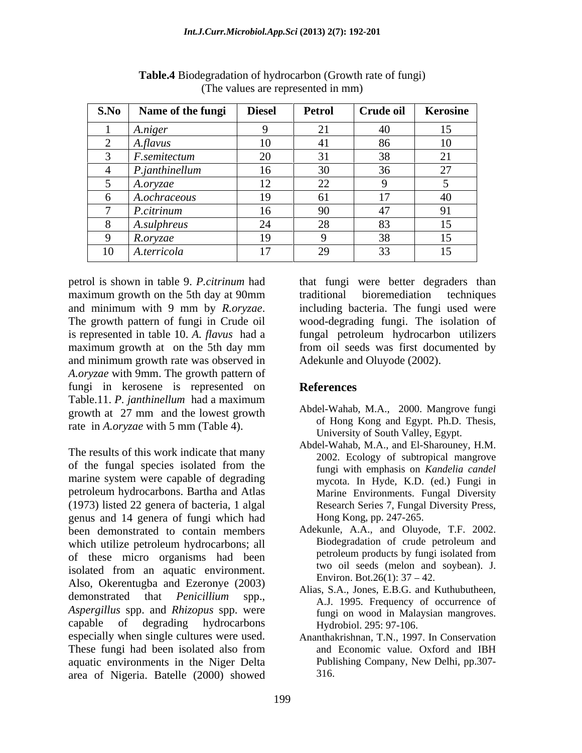| S.No | Name of the fungi   | <b>Diesel</b>                   | Petrol              | Crude oil      | Kerosine          |
|------|---------------------|---------------------------------|---------------------|----------------|-------------------|
|      | A.niger             |                                 |                     | -40            | 15                |
|      | A.flavus            | $\sim$                          |                     | 86             | 10                |
|      | <i>F.semitectum</i> | $\sim$<br>$\omega$              |                     | 38             | $\sim$ 1          |
|      | P.janthinellum      | 16<br>ΙV                        | 30<br>◡             | 36<br>$\sim$   | $\sim$ $-$<br>∠ 1 |
|      | A.oryzae            | $1^{\circ}$                     | $\cap$              |                |                   |
|      | A.ochraceous        | 1 <sub>0</sub><br>$\mathcal{F}$ |                     |                |                   |
|      | P.citrinum          | $\leq$<br>ιU                    | 90                  | $\overline{4}$ | $\Omega$ 1        |
|      | A.sulphreus         | $\bigcap$                       | $\bigcap$<br>$\sim$ | 83             | 15                |
|      | R.oryzae            | 10 <sup>1</sup>                 |                     | 20             | 15                |
| 10   | A.terricola         | 1 <sub>7</sub>                  | 20<br>ر بے          | 33<br>ູ        | 15                |

**Table.4** Biodegradation of hydrocarbon (Growth rate of fungi) (The values are represented in mm)

maximum growth on the 5th day at 90mm traditional bioremediation techniques is represented in table 10. *A. flavus* had a and minimum growth rate was observed in *A.oryzae* with 9mm. The growth pattern of fungi in kerosene is represented on Table.11. *P. janthinellum* had a maximum growth at 27 mm and the lowest growth rate in *A.oryzae* with 5 mm (Table 4).

The results of this work indicate that many of the fungal species isolated from the marine system were capable of degrading petroleum hydrocarbons. Bartha and Atlas (1973) listed 22 genera of bacteria, 1 algal genus and 14 genera of fungi which had been demonstrated to contain members Adekunle, A.A., and Oluyode, T.F. 2002.<br>which utilize petroleum hydrocarbons: all Biodegradation of crude petroleum and which utilize petroleum hydrocarbons; all been biodegradation of crude petroleum and<br>of these micro organisms had been petroleum products by fungi isolated from of these micro organisms had been isolated from an aquatic environment. Also, Okerentugba and Ezeronye (2003) demonstrated that *Penicillium* spp., *Aspergillus* spp. and *Rhizopus* spp. were capable of degrading hydrocarbons especially when single cultures were used. These fungi had been isolated also from aquatic environments in the Niger Delta area of Nigeria. Batelle (2000) showed

petrol is shown in table 9. *P.citrinum* had that fungi were better degraders than and minimum with 9 mm by *R.oryzae*. Including bacteria. The fungi used were<br>The growth pattern of fungi in Crude oil vood-degrading fungi. The isolation of maximum growth at on the 5th day mm from oil seeds was first documented by traditional bioremediation techniques including bacteria. The fungi used were wood-degrading fungi. The isolation of fungal petroleum hydrocarbon utilizers from oil seeds was first documented by Adekunle and Oluyode (2002).

### **References**

- Abdel-Wahab, M.A., 2000. Mangrove fungi of Hong Kong and Egypt. Ph.D. Thesis, University of South Valley, Egypt.
- Abdel-Wahab, M.A., and El-Sharouney, H.M. 2002. Ecology of subtropical mangrove fungi with emphasis on *Kandelia candel* mycota. In Hyde, K.D. (ed.) Fungi in Marine Environments. Fungal Diversity Research Series 7, Fungal Diversity Press, Hong Kong, pp. 247-265.
- Adekunle, A.A., and Oluyode, T.F. 2002. Biodegradation of crude petroleum and petroleum products by fungi isolated from two oil seeds (melon and soybean). J. Environ. Bot.26 $(1)$ : 37 – 42.
- Alias, S.A., Jones, E.B.G. and Kuthubutheen, A.J. 1995. Frequency of occurrence of fungi on wood in Malaysian mangroves. Hydrobiol. 295: 97-106.
- Ananthakrishnan, T.N., 1997. In Conservation and Economic value. Oxford and IBH Publishing Company, New Delhi, pp.307- 316.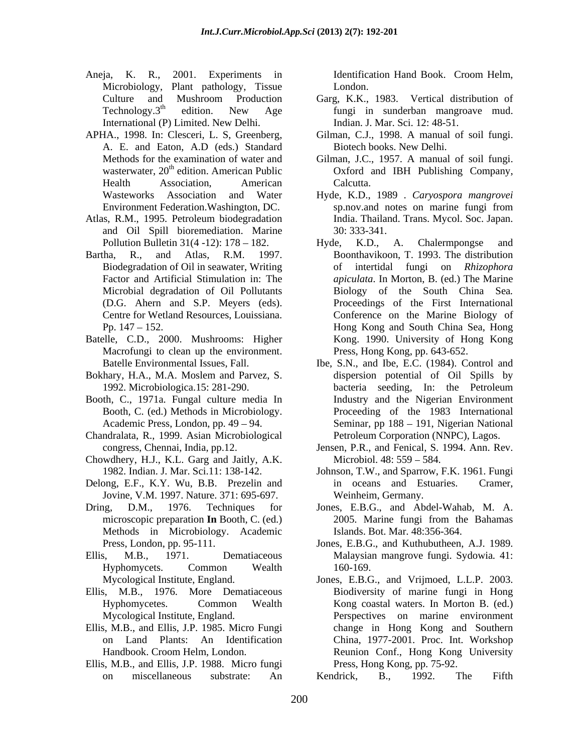- Aneja, K. R., 2001. Experiments in Identification Hand Book. Croom Helm, Microbiology, Plant pathology, Tissue London. International (P) Limited. New Delhi.
- APHA., 1998. In: Clesceri, L. S, Greenberg, Gilman, C.J., 1998. A manual of soil fungi. A. E. and Eaton, A.D (eds.) Standard
- Atlas, R.M., 1995. Petroleum biodegradation and Oil Spill bioremediation. Marine
- Biodegradation of Oil in seawater, Writing
- Batelle, C.D., 2000. Mushrooms: Higher Macrofungi to clean up the environment.
- Bokhary, H.A., M.A. Moslem and Parvez, S.
- Booth, C., 1971a. Fungal culture media In Booth, C. (ed.) Methods in Microbiology.
- Chandralata, R., 1999. Asian Microbiological
- Chowdhery, H.J., K.L. Garg and Jaitly, A.K.
- Delong, E.F., K.Y. Wu, B.B. Prezelin and in oceans and Estuaries. Cramer, Jovine, V.M. 1997. Nature. 371: 695-697.
- Methods in Microbiology. Academic
- 
- Ellis, M.B., 1976. More Dematiaceous
- 
- Ellis, M.B., and Ellis, J.P. 1988. Micro fungi

Identification Hand Book. Croom Helm, London.

- Culture and Mushroom Production Garg, K.K., 1983. Vertical distribution of Technology. $3<sup>th</sup>$  edition. New Age fungi in sunderban mangroave mud. fungi in sunderban mangroave mud. Indian. J. Mar. Sci. 12: 48-51.
	- Biotech books. New Delhi.
- Methods for the examination of water and Gilman, J.C., 1957. A manual of soil fungi. wasterwater, 20<sup>th</sup> edition. American Public **Oxford** and IBH Publishing Company, Health Association, American Calcutta. Calcutta.
- Wasteworks Association and Water Hyde, K.D., 1989 . *Caryospora mangrovei* Environment Federation.Washington, DC. sp.nov.and notes on marine fungi from India. Thailand. Trans. Mycol. Soc. Japan. 30: 333-341.
- Pollution Bulletin  $31(4-12)$ :  $178-182$ . Hyde, K.D., A. Chalermpongse and Bartha, R., and Atlas, R.M. 1997. Boonthavikoon, T. 1993. The distribution Factor and Artificial Stimulation in: The *apiculata*. In Morton, B. (ed.) The Marine Microbial degradation of Oil Pollutants Biology of the South China Sea*.* (D.G. Ahern and S.P. Meyers (eds). Proceedings of the First International Centre for Wetland Resources, Louissiana. Conference on the Marine Biology of Pp. 147 152. Hong Kong and South China Sea, Hong Hyde, K.D., A. Chalermpongse and of intertidal fungi on *Rhizophora*  Kong. 1990. University of Hong Kong Press, Hong Kong, pp. 643-652.
	- Batelle Environmental Issues, Fall. Ibe, S.N., and Ibe, E.C. (1984). Control and 1992. Microbiologica.15: 281-290. Academic Press, London, pp. 49 – 94. Seminar, pp 188 – 191, Nigerian National dispersion potential of Oil Spills by bacteria seeding, In: the Petroleum Industry and the Nigerian Environment Proceeding of the 1983 International Petroleum Corporation (NNPC), Lagos.
	- congress, Chennai, India, pp.12. Jensen, P.R., and Fenical, S. 1994. Ann. Rev. Microbiol. 48: 559 – 584.
	- 1982. Indian. J. Mar. Sci.11: 138-142. Johnson, T.W., and Sparrow, F.K. 1961. Fungi in oceans and Estuaries. Cramer, Weinheim, Germany.
- Dring, D.M., 1976. Techniques for Jones, E.B.G., and Abdel-Wahab, M. A. microscopic preparation **In** Booth, C. (ed.) 2005. Marine fungi from the Bahamas 2005. Marine fungi from the Bahamas Islands. Bot. Mar. 48:356-364.
- Press, London, pp. 95-111. Jones, E.B.G., and Kuthubutheen, A.J. 1989. Ellis, M.B., 1971. Dematiaceous Malaysian mangrove fungi. Sydowia*.* 41: Hyphomycets. Common Wealth 160-169.
- Mycological Institute, England. Jones, E.B.G., and Vrijmoed, L.L.P. 2003. Hyphomycetes. Common Wealth Kong coastal waters. In Morton B. (ed.) Mycological Institute, England. Perspectives on marine environment Ellis, M.B., and Ellis, J.P. 1985. Micro Fungi change in Hong Kong and Southern on Land Plants: An Identification China, 1977-2001. Proc. Int. Workshop Handbook. Croom Helm, London. Reunion Conf., Hong Kong University Biodiversity of marine fungi in Hong Press, Hong Kong, pp. 75-92.

on miscellaneous substrate: An Kendrick, B., 1992. The Fifth